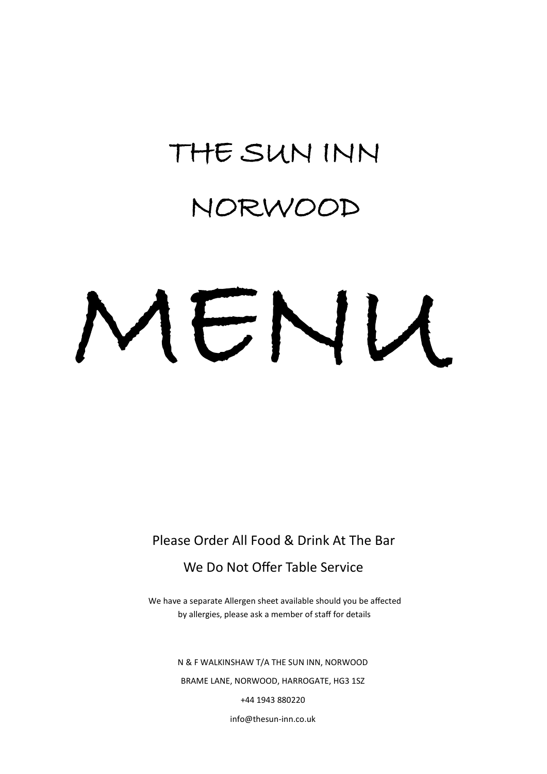## THE SUN INN

## NORWOOD

# MENU

Please Order All Food & Drink At The Bar

#### We Do Not Offer Table Service

We have a separate Allergen sheet available should you be affected by allergies, please ask a member of staff for details

> N & F WALKINSHAW T/A THE SUN INN, NORWOOD BRAME LANE, NORWOOD, HARROGATE, HG3 1SZ +44 1943 880220

> > info@thesun-inn.co.uk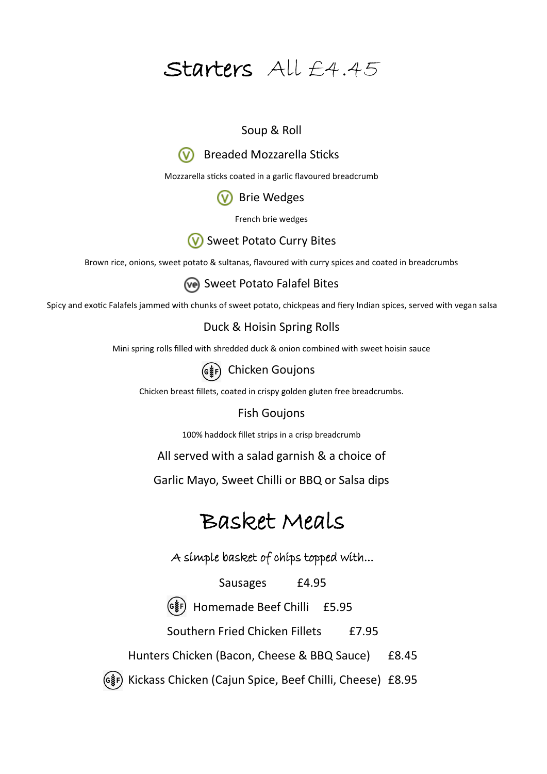#### Starters All £4.45

#### Soup & Roll

#### Breaded Mozzarella Sticks

Mozzarella sticks coated in a garlic flavoured breadcrumb

#### **W** Brie Wedges

French brie wedges

#### **W** Sweet Potato Curry Bites

Brown rice, onions, sweet potato & sultanas, flavoured with curry spices and coated in breadcrumbs

Sweet Potato Falafel Bites

Spicy and exotic Falafels jammed with chunks of sweet potato, chickpeas and fiery Indian spices, served with vegan salsa

#### Duck & Hoisin Spring Rolls

Mini spring rolls filled with shredded duck & onion combined with sweet hoisin sauce



(G\\ead{g}}{P}) Chicken Goujons

Chicken breast fillets, coated in crispy golden gluten free breadcrumbs.

#### Fish Goujons

100% haddock fillet strips in a crisp breadcrumb

All served with a salad garnish & a choice of

Garlic Mayo, Sweet Chilli or BBQ or Salsa dips

#### Basket Meals

A simple basket of chips topped with...

Sausages £4.95

Homemade Beef Chilli £5.95

Southern Fried Chicken Fillets £7.95

Hunters Chicken (Bacon, Cheese & BBQ Sauce) £8.45

Kickass Chicken (Cajun Spice, Beef Chilli, Cheese) £8.95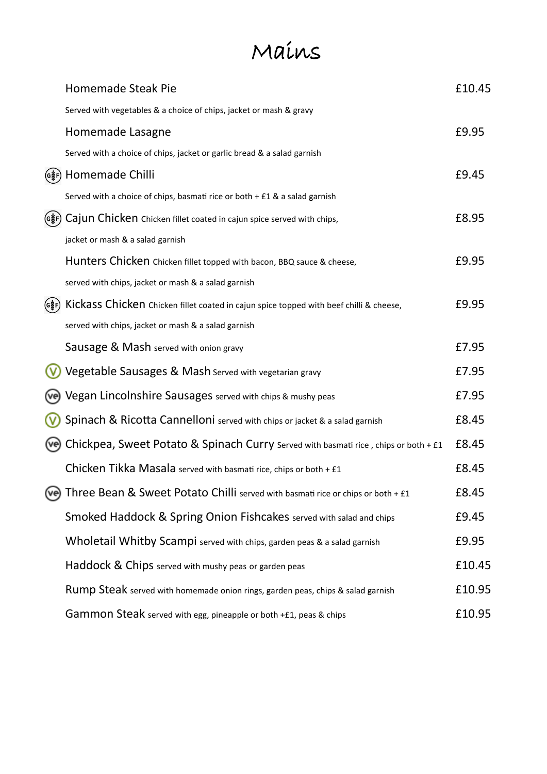## Mains

|       | <b>Homemade Steak Pie</b>                                                              | £10.45 |
|-------|----------------------------------------------------------------------------------------|--------|
|       | Served with vegetables & a choice of chips, jacket or mash & gravy                     |        |
|       | Homemade Lasagne                                                                       | £9.95  |
|       | Served with a choice of chips, jacket or garlic bread & a salad garnish                |        |
| (G햫F) | Homemade Chilli                                                                        | £9.45  |
|       | Served with a choice of chips, basmati rice or both + £1 & a salad garnish             |        |
|       | Cajun Chicken Chicken fillet coated in cajun spice served with chips,                  | £8.95  |
|       | jacket or mash & a salad garnish                                                       |        |
|       | Hunters Chicken Chicken fillet topped with bacon, BBQ sauce & cheese,                  | £9.95  |
|       | served with chips, jacket or mash & a salad garnish                                    |        |
| (G햫F) | Kickass Chicken Chicken fillet coated in cajun spice topped with beef chilli & cheese, | £9.95  |
|       | served with chips, jacket or mash & a salad garnish                                    |        |
|       | Sausage & Mash served with onion gravy                                                 | £7.95  |
|       | Vegetable Sausages & Mash served with vegetarian gravy                                 | £7.95  |
|       | Vegan Lincolnshire Sausages served with chips & mushy peas                             | £7.95  |
|       | Spinach & Ricotta Cannelloni served with chips or jacket & a salad garnish             | £8.45  |
|       | Chickpea, Sweet Potato & Spinach Curry served with basmati rice, chips or both + £1    | £8.45  |
|       | Chicken Tikka Masala served with basmati rice, chips or both + £1                      | £8.45  |
| (ve)  | Three Bean & Sweet Potato Chilli served with basmati rice or chips or both + £1        | £8.45  |
|       | Smoked Haddock & Spring Onion Fishcakes served with salad and chips                    | £9.45  |
|       | Wholetail Whitby Scampi served with chips, garden peas & a salad garnish               | £9.95  |
|       | Haddock & Chips served with mushy peas or garden peas                                  | £10.45 |
|       | Rump Steak served with homemade onion rings, garden peas, chips & salad garnish        | £10.95 |
|       | Gammon Steak served with egg, pineapple or both +£1, peas & chips                      | £10.95 |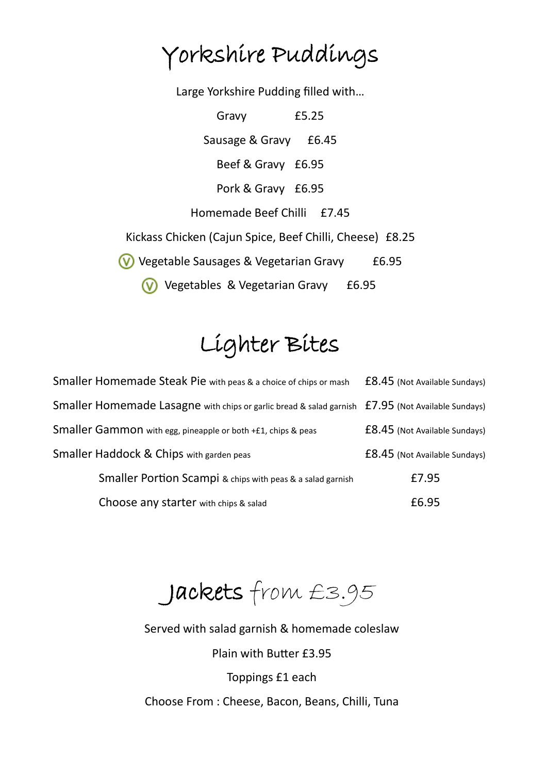## Yorkshire Puddings

Large Yorkshire Pudding filled with…

Gravy £5.25 Sausage & Gravy £6.45 Beef & Gravy £6.95 Pork & Gravy £6.95 Homemade Beef Chilli £7.45 Kickass Chicken (Cajun Spice, Beef Chilli, Cheese) £8.25 Vegetable Sausages & Vegetarian Gravy £6.95 **V** Vegetables & Vegetarian Gravy £6.95

## Lighter Bites

| Smaller Homemade Steak Pie with peas & a choice of chips or mash                                  | £8.45 (Not Available Sundays) |  |
|---------------------------------------------------------------------------------------------------|-------------------------------|--|
| Smaller Homemade Lasagne with chips or garlic bread & salad garnish £7.95 (Not Available Sundays) |                               |  |
| Smaller Gammon with egg, pineapple or both +£1, chips & peas                                      | £8.45 (Not Available Sundays) |  |
| Smaller Haddock & Chips with garden peas                                                          | £8.45 (Not Available Sundays) |  |
| Smaller Portion Scampi & chips with peas & a salad garnish                                        | £7.95                         |  |
| Choose any starter with chips & salad                                                             | £6.95                         |  |

Jackets from £3.95

Served with salad garnish & homemade coleslaw Plain with Butter £3.95 Toppings £1 each

Choose From : Cheese, Bacon, Beans, Chilli, Tuna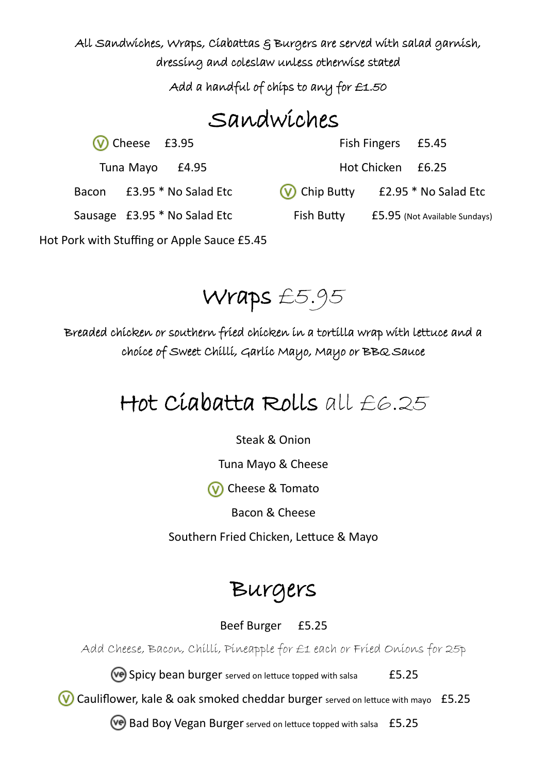All Sandwiches, Wraps, Ciabattas & Burgers are served with salad garnish, dressing and coleslaw unless otherwise stated

Add a handful of chips to any for £1.50

## Sandwiches

 $(V)$  Cheese £3.95

Tuna Mayo £4.95

Bacon £3.95 \* No Salad Etc

Fish Fingers £5.45

Hot Chicken £6.25

(V) Chip Butty £2.95 \* No Salad Etc

Sausage £3.95 \* No Salad Etc

Fish Butty £5.95 (Not Available Sundays)

Hot Pork with Stuffing or Apple Sauce £5.45

Wraps £5.95

Breaded chicken or southern fried chicken in a tortilla wrap with lettuce and a choice of Sweet Chilli, Garlic Mayo, Mayo or BBQ Sauce

## Hot Ciabatta Rolls all  $E6.25$

Steak & Onion

Tuna Mayo & Cheese

**(V)** Cheese & Tomato

Bacon & Cheese

Southern Fried Chicken, Lettuce & Mayo

## Burgers

#### Beef Burger £5.25

Add Cheese, Bacon, Chilli, Pineapple for £1 each or Fried Onions for 25p

Spicy bean burger served on lettuce topped with salsa £5.25

Cauliflower, kale & oak smoked cheddar burger served on lettuce with mayo £5.25

Bad Boy Vegan Burger served on lettuce topped with salsa £5.25